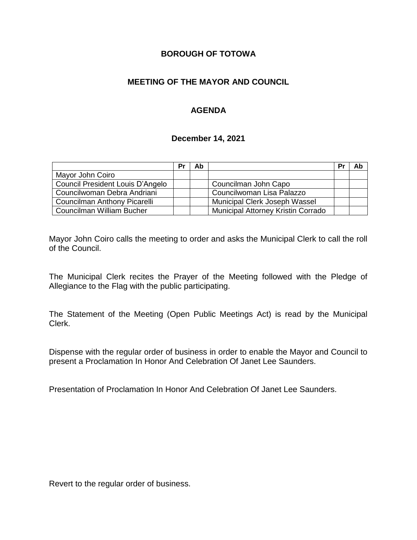### **BOROUGH OF TOTOWA**

## **MEETING OF THE MAYOR AND COUNCIL**

## **AGENDA**

#### **December 14, 2021**

|                                  | Pr | Ab |                                    | Pr | Ab |
|----------------------------------|----|----|------------------------------------|----|----|
| Mayor John Coiro                 |    |    |                                    |    |    |
| Council President Louis D'Angelo |    |    | Councilman John Capo               |    |    |
| Councilwoman Debra Andriani      |    |    | Councilwoman Lisa Palazzo          |    |    |
| Councilman Anthony Picarelli     |    |    | Municipal Clerk Joseph Wassel      |    |    |
| Councilman William Bucher        |    |    | Municipal Attorney Kristin Corrado |    |    |

Mayor John Coiro calls the meeting to order and asks the Municipal Clerk to call the roll of the Council.

The Municipal Clerk recites the Prayer of the Meeting followed with the Pledge of Allegiance to the Flag with the public participating.

The Statement of the Meeting (Open Public Meetings Act) is read by the Municipal Clerk.

Dispense with the regular order of business in order to enable the Mayor and Council to present a Proclamation In Honor And Celebration Of Janet Lee Saunders.

Presentation of Proclamation In Honor And Celebration Of Janet Lee Saunders.

Revert to the regular order of business.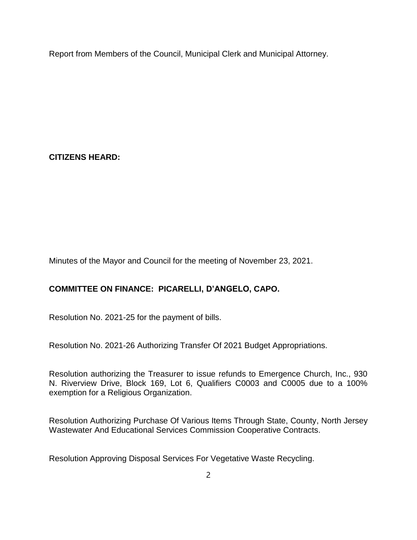Report from Members of the Council, Municipal Clerk and Municipal Attorney.

**CITIZENS HEARD:**

Minutes of the Mayor and Council for the meeting of November 23, 2021.

# **COMMITTEE ON FINANCE: PICARELLI, D'ANGELO, CAPO.**

Resolution No. 2021-25 for the payment of bills.

Resolution No. 2021-26 Authorizing Transfer Of 2021 Budget Appropriations.

Resolution authorizing the Treasurer to issue refunds to Emergence Church, Inc., 930 N. Riverview Drive, Block 169, Lot 6, Qualifiers C0003 and C0005 due to a 100% exemption for a Religious Organization.

Resolution Authorizing Purchase Of Various Items Through State, County, North Jersey Wastewater And Educational Services Commission Cooperative Contracts.

Resolution Approving Disposal Services For Vegetative Waste Recycling.